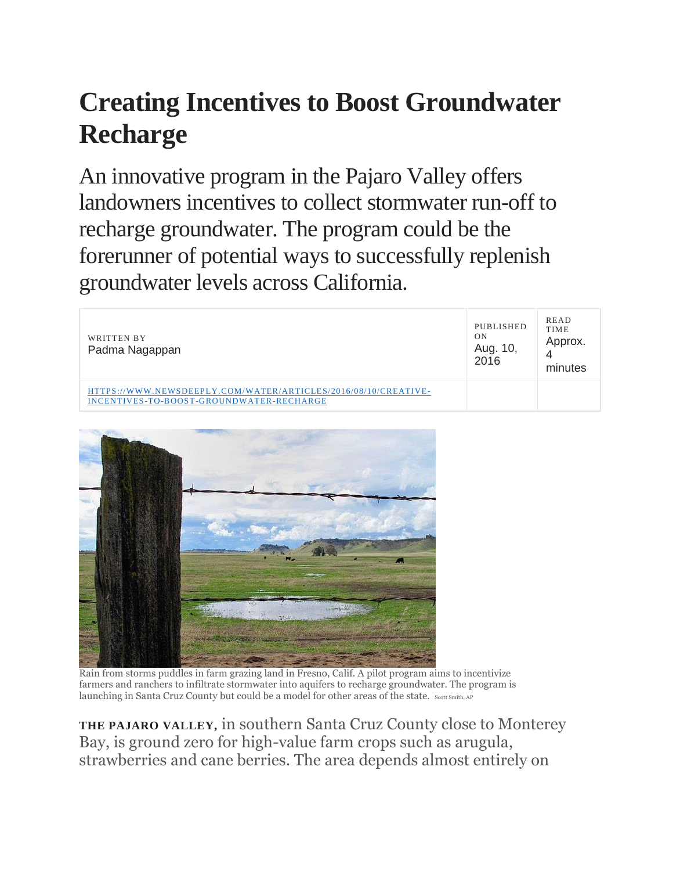## **Creating Incentives to Boost Groundwater Recharge**

An innovative program in the Pajaro Valley offers landowners incentives to collect stormwater run-off to recharge groundwater. The program could be the forerunner of potential ways to successfully replenish groundwater levels across California.

| WRITTEN BY<br>Padma Nagappan                                                                               | PUBLISHED<br>ON<br>Aug. 10,<br>2016 | <b>READ</b><br><b>TIME</b><br>Approx.<br>4<br>minutes |
|------------------------------------------------------------------------------------------------------------|-------------------------------------|-------------------------------------------------------|
| HTTPS://WWW.NEWSDEEPLY.COM/WATER/ARTICLES/2016/08/10/CREATIVE-<br>INCENTIVES-TO-BOOST-GROUNDWATER-RECHARGE |                                     |                                                       |



Rain from storms puddles in farm grazing land in Fresno, Calif. A pilot program aims to incentivize farmers and ranchers to infiltrate stormwater into aquifers to recharge groundwater. The program is launching in Santa Cruz County but could be a model for other areas of the state. Scott Smith, AP

**THE PAJARO VALLEY,** in southern Santa Cruz County close to Monterey Bay, is ground zero for high-value farm crops such as arugula, strawberries and cane berries. The area depends almost entirely on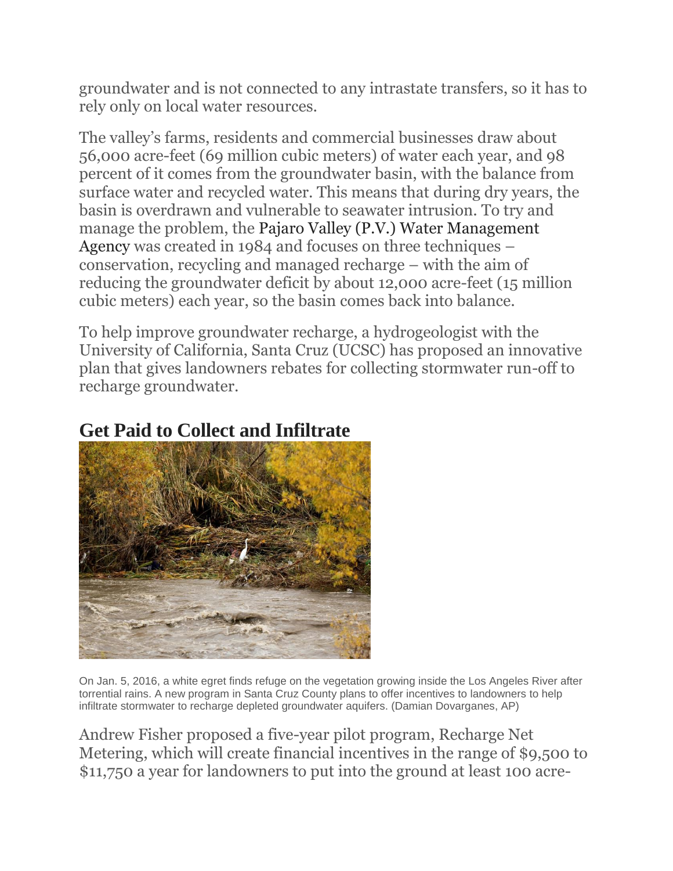groundwater and is not connected to any intrastate transfers, so it has to rely only on local water resources.

The valley's farms, residents and commercial businesses draw about 56,000 acre-feet (69 million cubic meters) of water each year, and 98 percent of it comes from the groundwater basin, with the balance from surface water and recycled water. This means that during dry years, the basin is overdrawn and vulnerable to seawater intrusion. To try and manage the problem, the [Pajaro Valley \(P.V.\) Water Management](http://pvwater.org/)  [Agency](http://pvwater.org/) was created in 1984 and focuses on three techniques – conservation, recycling and managed recharge – with the aim of reducing the groundwater deficit by about 12,000 acre-feet (15 million cubic meters) each year, so the basin comes back into balance.

To help improve groundwater recharge, a hydrogeologist with the University of California, Santa Cruz (UCSC) has proposed an innovative plan that gives landowners rebates for collecting stormwater run-off to recharge groundwater.

## **Get Paid to Collect and Infiltrate**



On Jan. 5, 2016, a white egret finds refuge on the vegetation growing inside the Los Angeles River after torrential rains. A new program in Santa Cruz County plans to offer incentives to landowners to help infiltrate stormwater to recharge depleted groundwater aquifers. (Damian Dovarganes, AP)

Andrew Fisher proposed a five-year pilot program, Recharge Net Metering, which will create financial incentives in the range of \$9,500 to \$11,750 a year for landowners to put into the ground at least 100 acre-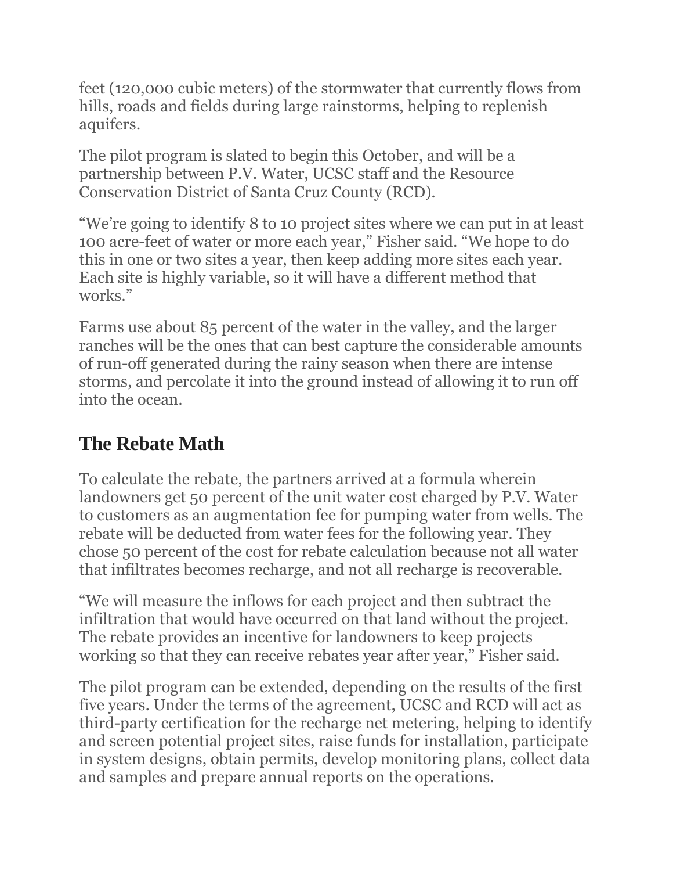feet (120,000 cubic meters) of the stormwater that currently flows from hills, roads and fields during large rainstorms, helping to replenish aquifers.

The pilot program is slated to begin this October, and will be a partnership between P.V. Water, UCSC staff and the Resource Conservation District of Santa Cruz County (RCD).

"We're going to identify 8 to 10 project sites where we can put in at least 100 acre-feet of water or more each year," Fisher said. "We hope to do this in one or two sites a year, then keep adding more sites each year. Each site is highly variable, so it will have a different method that works."

Farms use about 85 percent of the water in the valley, and the larger ranches will be the ones that can best capture the considerable amounts of run-off generated during the rainy season when there are intense storms, and percolate it into the ground instead of allowing it to run off into the ocean.

## **The Rebate Math**

To calculate the rebate, the partners arrived at a formula wherein landowners get 50 percent of the unit water cost charged by P.V. Water to customers as an augmentation fee for pumping water from wells. The rebate will be deducted from water fees for the following year. They chose 50 percent of the cost for rebate calculation because not all water that infiltrates becomes recharge, and not all recharge is recoverable.

"We will measure the inflows for each project and then subtract the infiltration that would have occurred on that land without the project. The rebate provides an incentive for landowners to keep projects working so that they can receive rebates year after year," Fisher said.

The pilot program can be extended, depending on the results of the first five years. Under the terms of the agreement, UCSC and RCD will act as third-party certification for the recharge net metering, helping to identify and screen potential project sites, raise funds for installation, participate in system designs, obtain permits, develop monitoring plans, collect data and samples and prepare annual reports on the operations.